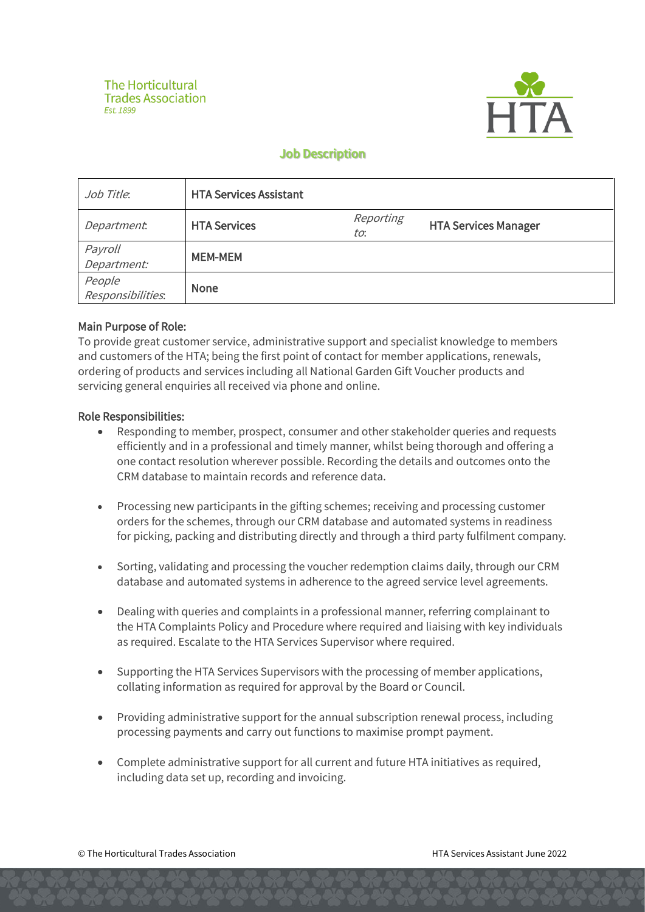

# Job Description

| Job Title:                  | <b>HTA Services Assistant</b> |                  |                             |
|-----------------------------|-------------------------------|------------------|-----------------------------|
| Department.                 | <b>HTA Services</b>           | Reporting<br>to: | <b>HTA Services Manager</b> |
| Payroll<br>Department:      | <b>MEM-MEM</b>                |                  |                             |
| People<br>Responsibilities. | <b>None</b>                   |                  |                             |

## Main Purpose of Role:

To provide great customer service, administrative support and specialist knowledge to members and customers of the HTA; being the first point of contact for member applications, renewals, ordering of products and services including all National Garden Gift Voucher products and servicing general enquiries all received via phone and online.

## Role Responsibilities:

- Responding to member, prospect, consumer and other stakeholder queries and requests efficiently and in a professional and timely manner, whilst being thorough and offering a one contact resolution wherever possible. Recording the details and outcomes onto the CRM database to maintain records and reference data.
- Processing new participants in the gifting schemes; receiving and processing customer orders for the schemes, through our CRM database and automated systems in readiness for picking, packing and distributing directly and through a third party fulfilment company.
- Sorting, validating and processing the voucher redemption claims daily, through our CRM database and automated systems in adherence to the agreed service level agreements.
- Dealing with queries and complaints in a professional manner, referring complainant to the HTA Complaints Policy and Procedure where required and liaising with key individuals as required. Escalate to the HTA Services Supervisor where required.
- Supporting the HTA Services Supervisors with the processing of member applications, collating information as required for approval by the Board or Council.
- Providing administrative support for the annual subscription renewal process, including processing payments and carry out functions to maximise prompt payment.
- Complete administrative support for all current and future HTA initiatives as required, including data set up, recording and invoicing.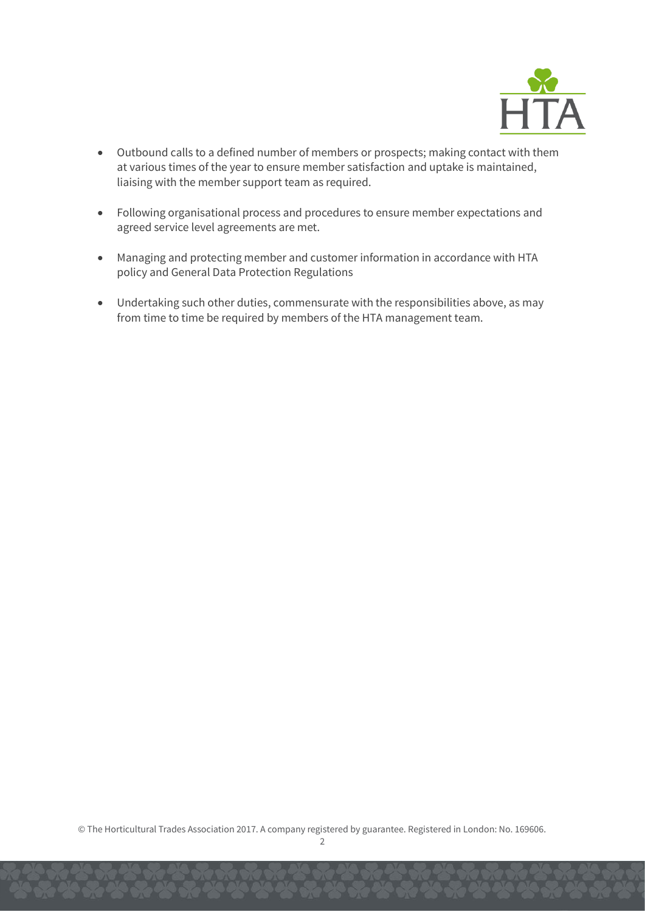

- Outbound calls to a defined number of members or prospects; making contact with them at various times of the year to ensure member satisfaction and uptake is maintained, liaising with the member support team as required.
- Following organisational process and procedures to ensure member expectations and agreed service level agreements are met.
- Managing and protecting member and customer information in accordance with HTA policy and General Data Protection Regulations
- Undertaking such other duties, commensurate with the responsibilities above, as may from time to time be required by members of the HTA management team.

© The Horticultural Trades Association 2017. A company registered by guarantee. Registered in London: No. 169606.